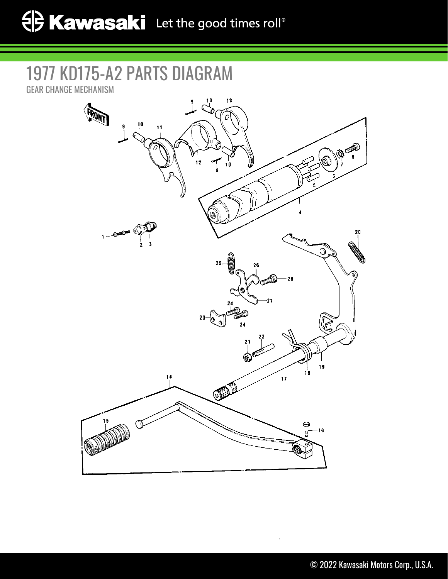## 1977 KD175-A2 PARTS DIAGRAM

GEAR CHANGE MECHANISM